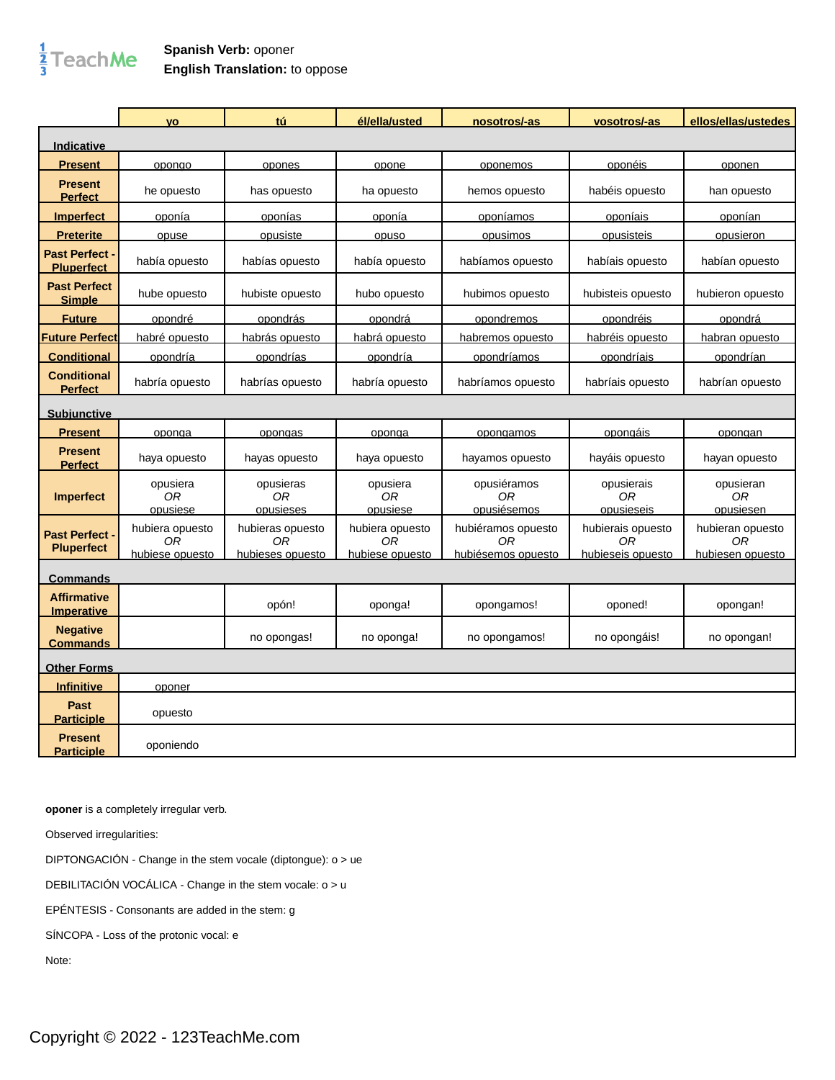## $\frac{1}{3}$ TeachMe

## **Spanish Verb:** oponer **English Translation:** to oppose

|                                          | <b>VO</b>                                | tú                                         | él/ella/usted                                        | nosotros/-as                                   | vosotros/-as                                 | ellos/ellas/ustedes                                    |
|------------------------------------------|------------------------------------------|--------------------------------------------|------------------------------------------------------|------------------------------------------------|----------------------------------------------|--------------------------------------------------------|
| Indicative                               |                                          |                                            |                                                      |                                                |                                              |                                                        |
| <b>Present</b>                           | opongo                                   | opones                                     | opone                                                | oponemos                                       | oponéis                                      | oponen                                                 |
| <b>Present</b><br><b>Perfect</b>         | he opuesto                               | has opuesto                                | ha opuesto                                           | hemos opuesto                                  | habéis opuesto                               | han opuesto                                            |
| <b>Imperfect</b>                         | oponía                                   | oponías                                    | oponía                                               | oponíamos                                      | oponíais                                     | oponían                                                |
| <b>Preterite</b>                         | opuse                                    | opusiste                                   | opuso                                                | opusimos                                       | opusisteis                                   | opusieron                                              |
| <b>Past Perfect</b><br><b>Pluperfect</b> | había opuesto                            | habías opuesto                             | había opuesto                                        | habíamos opuesto                               | habíais opuesto                              | habían opuesto                                         |
| <b>Past Perfect</b><br><b>Simple</b>     | hube opuesto                             | hubiste opuesto                            | hubo opuesto                                         | hubimos opuesto                                | hubisteis opuesto                            | hubieron opuesto                                       |
| <b>Future</b>                            | opondré                                  | opondrás                                   | opondrá                                              | opondremos                                     | opondréis                                    | opondrá                                                |
| <b>Future Perfect</b>                    | habré opuesto                            | habrás opuesto                             | habrá opuesto                                        | habremos opuesto                               | habréis opuesto                              | habran opuesto                                         |
| <b>Conditional</b>                       | opondría                                 | opondrías                                  | opondría                                             | opondríamos                                    | opondríais                                   | opondrían                                              |
| <b>Conditional</b><br><b>Perfect</b>     | habría opuesto                           | habrías opuesto                            | habría opuesto                                       | habríamos opuesto                              | habríais opuesto                             | habrían opuesto                                        |
| <b>Subjunctive</b>                       |                                          |                                            |                                                      |                                                |                                              |                                                        |
| <b>Present</b>                           | oponga                                   | opongas                                    | oponga                                               | opongamos                                      | <u>opongáis</u>                              | opongan                                                |
| <b>Present</b><br><b>Perfect</b>         | haya opuesto                             | hayas opuesto                              | haya opuesto                                         | hayamos opuesto                                | hayáis opuesto                               | hayan opuesto                                          |
| <b>Imperfect</b>                         | opusiera<br><b>OR</b><br>opusiese        | opusieras<br>0R<br>opusieses               | opusiera<br>0R<br>opusiese                           | opusiéramos<br>0R<br>opusiésemos               | opusierais<br>0R<br>opusieseis               | opusieran<br>0R<br>opusiesen                           |
| <b>Past Perfect</b><br><b>Pluperfect</b> | hubiera opuesto<br>0R<br>hubiese opuesto | hubieras opuesto<br>0R<br>hubieses opuesto | hubiera opuesto<br>0 <sub>R</sub><br>hubiese opuesto | hubiéramos opuesto<br>0R<br>hubiésemos opuesto | hubierais opuesto<br>0R<br>hubieseis opuesto | hubieran opuesto<br>0 <sub>R</sub><br>hubiesen opuesto |
| <u>Commands</u>                          |                                          |                                            |                                                      |                                                |                                              |                                                        |
| <b>Affirmative</b><br><b>Imperative</b>  |                                          | opón!                                      | oponga!                                              | opongamos!                                     | oponed!                                      | opongan!                                               |
| <b>Negative</b><br><b>Commands</b>       |                                          | no opongas!                                | no oponga!                                           | no opongamos!                                  | no opongáis!                                 | no opongan!                                            |
| <b>Other Forms</b>                       |                                          |                                            |                                                      |                                                |                                              |                                                        |
| <b>Infinitive</b>                        | oponer                                   |                                            |                                                      |                                                |                                              |                                                        |
| <b>Past</b><br><b>Participle</b>         | opuesto                                  |                                            |                                                      |                                                |                                              |                                                        |
| <b>Present</b><br><b>Participle</b>      | oponiendo                                |                                            |                                                      |                                                |                                              |                                                        |

**oponer** is a completely irregular verb.

Observed irregularities:

DIPTONGACIÓN - Change in the stem vocale (diptongue): o > ue

DEBILITACIÓN VOCÁLICA - Change in the stem vocale: o > u

EPÉNTESIS - Consonants are added in the stem: g

SÍNCOPA - Loss of the protonic vocal: e

Note: